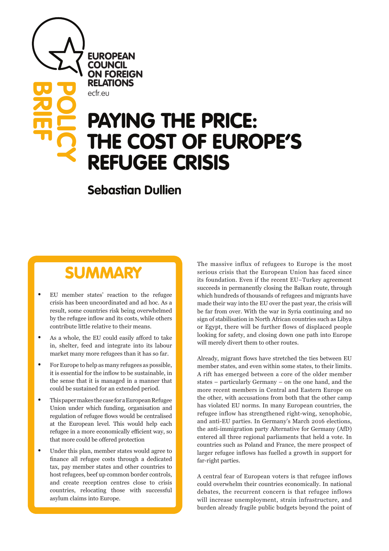EUROPEAN **COUNCIL** ON FOREIGN RELATIONS ecfr.eu

**BRIEF**

**POLICY** 

# PAYING THE PRICE: THE COST OF EUROPE'S REFUGEE CRISIS

## **Sebastian Dullien**

## **SUMMARY**

- EU member states' reaction to the refugee crisis has been uncoordinated and ad hoc. As a result, some countries risk being overwhelmed by the refugee inflow and its costs, while others contribute little relative to their means.
- As a whole, the EU could easily afford to take in, shelter, feed and integrate into its labour market many more refugees than it has so far.
- For Europe to help as many refugees as possible, it is essential for the inflow to be sustainable, in the sense that it is managed in a manner that could be sustained for an extended period.
- This paper makes the case for a European Refugee Union under which funding, organisation and regulation of refugee flows would be centralised at the European level. This would help each refugee in a more economically efficient way, so that more could be offered protection
- Under this plan, member states would agree to finance all refugee costs through a dedicated tax, pay member states and other countries to host refugees, beef up common border controls, and create reception centres close to crisis countries, relocating those with successful asylum claims into Europe.

The massive influx of refugees to Europe is the most serious crisis that the European Union has faced since its foundation. Even if the recent EU–Turkey agreement succeeds in permanently closing the Balkan route, through which hundreds of thousands of refugees and migrants have made their way into the EU over the past year, the crisis will be far from over. With the war in Syria continuing and no sign of stabilisation in North African countries such as Libya or Egypt, there will be further flows of displaced people looking for safety, and closing down one path into Europe will merely divert them to other routes.

Already, migrant flows have stretched the ties between EU member states, and even within some states, to their limits. A rift has emerged between a core of the older member states – particularly Germany – on the one hand, and the more recent members in Central and Eastern Europe on the other, with accusations from both that the other camp has violated EU norms. In many European countries, the refugee inflow has strengthened right-wing, xenophobic, and anti-EU parties. In Germany's March 2016 elections, the anti-immigration party Alternative for Germany (AfD) entered all three regional parliaments that held a vote. In countries such as Poland and France, the mere prospect of larger refugee inflows has fuelled a growth in support for far-right parties.

A central fear of European voters is that refugee inflows could overwhelm their countries economically. In national debates, the recurrent concern is that refugee inflows will increase unemployment, strain infrastructure, and burden already fragile public budgets beyond the point of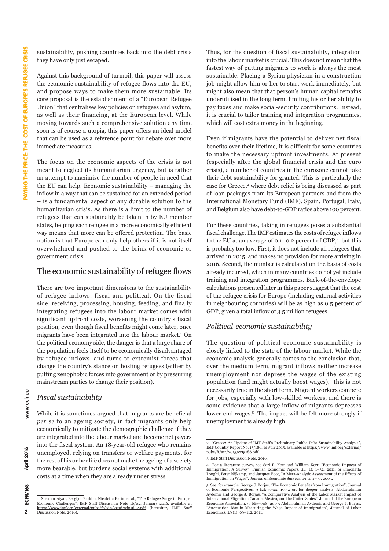sustainability, pushing countries back into the debt crisis they have only just escaped.

Against this background of turmoil, this paper will assess the economic sustainability of refugee flows into the EU, and propose ways to make them more sustainable. Its core proposal is the establishment of a "European Refugee Union" that centralises key policies on refugees and asylum, as well as their financing, at the European level. While moving towards such a comprehensive solution any time soon is of course a utopia, this paper offers an ideal model that can be used as a reference point for debate over more immediate measures.

The focus on the economic aspects of the crisis is not meant to neglect its humanitarian urgency, but is rather an attempt to maximise the number of people in need that the EU can help. Economic sustainability – managing the inflow in a way that can be sustained for an extended period – is a fundamental aspect of any durable solution to the humanitarian crisis. As there is a limit to the number of refugees that can sustainably be taken in by EU member states, helping each refugee in a more economically efficient way means that more can be offered protection. The basic notion is that Europe can only help others if it is not itself overwhelmed and pushed to the brink of economic or government crisis.

#### The economic sustainability of refugee flows

There are two important dimensions to the sustainability of refugee inflows: fiscal and political. On the fiscal side, receiving, processing, housing, feeding, and finally integrating refugees into the labour market comes with significant upfront costs, worsening the country's fiscal position, even though fiscal benefits might come later, once migrants have been integrated into the labour market.<sup>1</sup> On the political economy side, the danger is that a large share of the population feels itself to be economically disadvantaged by refugee inflows, and turns to extremist forces that change the country's stance on hosting refugees (either by putting xenophobic forces into government or by pressuring mainstream parties to change their position).

#### *Fiscal sustainability*

While it is sometimes argued that migrants are beneficial *per se* to an ageing society, in fact migrants only help economically to mitigate the demographic challenge if they are integrated into the labour market and become net payers into the fiscal system. An 18-year-old refugee who remains unemployed, relying on transfers or welfare payments, for the rest of his or her life does not make the ageing of a society more bearable, but burdens social systems with additional costs at a time when they are already under stress.

1 Shekhar Aiyar, Bergljot Barkbu, Nicoletta Batini et al., "The Refugee Surge in Europe: Economic Challenges", IMF Staff Discussion Note 16/02, January 2016, available at <https://www.imf.org/external/pubs/ft/sdn/2016/sdn1602.pdf> (hereafter, IMF Staff Discussion Note, 2016). Thus, for the question of fiscal sustainability, integration into the labour market is crucial. This does not mean that the fastest way of putting migrants to work is always the most sustainable. Placing a Syrian physician in a construction job might allow him or her to start work immediately, but might also mean that that person's human capital remains underutilised in the long term, limiting his or her ability to pay taxes and make social-security contributions. Instead, it is crucial to tailor training and integration programmes, which will cost extra money in the beginning.

Even if migrants have the potential to deliver net fiscal benefits over their lifetime, it is difficult for some countries to make the necessary upfront investments. At present (especially after the global financial crisis and the euro crisis), a number of countries in the eurozone cannot take their debt sustainability for granted. This is particularly the case for Greece,<sup>2</sup> where debt relief is being discussed as part of loan packages from its European partners and from the International Monetary Fund (IMF). Spain, Portugal, Italy, and Belgium also have debt-to-GDP ratios above 100 percent.

For these countries, taking in refugees poses a substantial fiscal challenge. The IMF estimates the costs of refugee inflows to the EU at an average of 0.1–0.2 percent of GDP,3 but this is probably too low. First, it does not include all refugees that arrived in 2015, and makes no provision for more arriving in 2016. Second, the number is calculated on the basis of costs already incurred, which in many countries do not yet include training and integration programmes. Back-of-the-envelope calculations presented later in this paper suggest that the cost of the refugee crisis for Europe (including external activities in neighbouring countries) will be as high as 0.5 percent of GDP, given a total inflow of 3.5 million refugees.

#### *Political-economic sustainability*

The question of political-economic sustainability is closely linked to the state of the labour market. While the economic analysis generally comes to the conclusion that, over the medium term, migrant inflows neither increase unemployment nor depress the wages of the existing population (and might actually boost wages),4 this is not necessarily true in the short term. Migrant workers compete for jobs, especially with low-skilled workers, and there is some evidence that a large inflow of migrants depresses lower-end wages.<sup>5</sup> The impact will be felt more strongly if unemployment is already high.

<sup>&</sup>lt;sup>2</sup> "Greece: An Update of IMF Staff's Preliminary Public Debt Sustainability Analysis",<br>IMF Country Report No. 15/186, 14 July 2015, available at https://www.imf.org/external/ IMF Country Report No. 15/186, 14 July 2015, available at https://www.imf.org/exte [pubs/ft/scr/2015/cr15186.pdf](https://www.imf.org/external/pubs/ft/scr/2015/cr15186.pdf).

<sup>3</sup> IMF Staff Discussion Note, 2016.

<sup>4</sup> For a literature survey, see Sari P. Kerr and William Kerr, "Economic Impacts of Immigration: A Survey", Finnish Economic Papers, 24 (1): 1–32, 2011; or Simonetta<br>Longhi, Peter Nijkamp, and Jacques Poot, "A Meta-Analytic Assessment of the Effects of<br>Immigration on Wages", Journal of Economic Surveys, 1

<sup>5</sup> See, for example, George J. Borjas, "The Economic Benefits from Immigration", Journal of Economic Perspectives, 9 (2): 3–22, 1995; or, for deeper analysis, Abdurrahman<br>Aydemir and George J. Borjas, "A Comparative Analysis of the Labor Market Impact of<br>International Migration: Canada, Mexico, and the United Economic Association, 5: 663–708, 2007; Abdurrahman Aydemir and George J. Borjas, "Attenuation Bias in Measuring the Wage Impact of Immigration", Journal of Labor Economics, 29 (1): 69–112, 2011.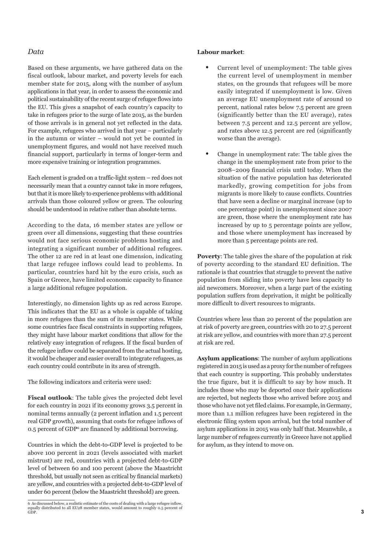#### *Data*

Based on these arguments, we have gathered data on the fiscal outlook, labour market, and poverty levels for each member state for 2015, along with the number of asylum applications in that year, in order to assess the economic and political sustainability of the recent surge of refugee flows into the EU. This gives a snapshot of each country's capacity to take in refugees prior to the surge of late 2015, as the burden of those arrivals is in general not yet reflected in the data. For example, refugees who arrived in that year – particularly in the autumn or winter – would not yet be counted in unemployment figures, and would not have received much financial support, particularly in terms of longer-term and more expensive training or integration programmes.

Each element is graded on a traffic-light system – red does not necessarily mean that a country cannot take in more refugees, but that it is more likely to experience problems with additional arrivals than those coloured yellow or green. The colouring should be understood in relative rather than absolute terms.

According to the data, 16 member states are yellow or green over all dimensions, suggesting that these countries would not face serious economic problems hosting and integrating a significant number of additional refugees. The other 12 are red in at least one dimension, indicating that large refugee inflows could lead to problems. In particular, countries hard hit by the euro crisis, such as Spain or Greece, have limited economic capacity to finance a large additional refugee population.

Interestingly, no dimension lights up as red across Europe. This indicates that the EU as a whole is capable of taking in more refugees than the sum of its member states. While some countries face fiscal constraints in supporting refugees, they might have labour market conditions that allow for the relatively easy integration of refugees. If the fiscal burden of the refugee inflow could be separated from the actual hosting, it would be cheaper and easier overall to integrate refugees, as each country could contribute in its area of strength.

The following indicators and criteria were used:

**Fiscal outlook**: The table gives the projected debt level for each country in 2021 if its economy grows 3.5 percent in nominal terms annually (2 percent inflation and 1.5 percent real GDP growth), assuming that costs for refugee inflows of 0.5 percent of GDP6 are financed by additional borrowing.

Countries in which the debt-to-GDP level is projected to be above 100 percent in 2021 (levels associated with market mistrust) are red, countries with a projected debt-to-GDP level of between 60 and 100 percent (above the Maastricht threshold, but usually not seen as critical by financial markets) are yellow, and countries with a projected debt-to-GDP level of under 60 percent (below the Maastricht threshold) are green.

#### **Labour market**:

- Current level of unemployment: The table gives the current level of unemployment in member states, on the grounds that refugees will be more easily integrated if unemployment is low. Given an average EU unemployment rate of around 10 percent, national rates below 7.5 percent are green (significantly better than the EU average), rates between 7.5 percent and 12.5 percent are yellow, and rates above 12.5 percent are red (significantly worse than the average).
- Change in unemployment rate: The table gives the change in the unemployment rate from prior to the 2008–2009 financial crisis until today. When the situation of the native population has deteriorated markedly, growing competition for jobs from migrants is more likely to cause conflicts. Countries that have seen a decline or marginal increase (up to one percentage point) in unemployment since 2007 are green, those where the unemployment rate has increased by up to 5 percentage points are yellow, and those where unemployment has increased by more than 5 percentage points are red.

**Poverty**: The table gives the share of the population at risk of poverty according to the standard EU definition. The rationale is that countries that struggle to prevent the native population from sliding into poverty have less capacity to aid newcomers. Moreover, when a large part of the existing population suffers from deprivation, it might be politically more difficult to divert resources to migrants.

Countries where less than 20 percent of the population are at risk of poverty are green, countries with 20 to 27.5 percent at risk are yellow, and countries with more than 27.5 percent at risk are red.

**Asylum applications**: The number of asylum applications registered in 2015 is used as a proxy for the number of refugees that each country is supporting. This probably understates the true figure, but it is difficult to say by how much. It includes those who may be deported once their applications are rejected, but neglects those who arrived before 2015 and those who have not yet filed claims. For example, in Germany, more than 1.1 million refugees have been registered in the electronic filing system upon arrival, but the total number of asylum applications in 2015 was only half that. Meanwhile, a large number of refugees currently in Greece have not applied for asylum, as they intend to move on.

<sup>6</sup> As discussed below, a realistic estimate of the costs of dealing with a large refugee inflow, equally distributed to all EU28 member states, would amount to roughly 0.5 percent of GDP.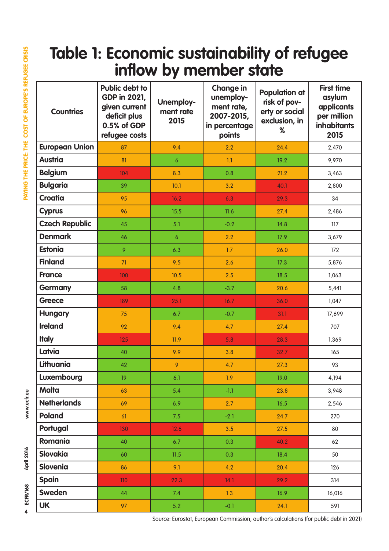## **Table 1: Economic sustainability of refugee inflow by member state**

| <b>Countries</b>      | <b>Public debt to</b><br><b>GDP in 2021,</b><br>given current<br>deficit plus<br>0.5% of GDP<br>refugee costs | Unemploy-<br>ment rate<br>2015 | <b>Change in</b><br>unemploy-<br>ment rate,<br>2007-2015,<br>in percentage<br>points | <b>Population at</b><br>risk of pov-<br>erty or social<br>exclusion, in<br>% | <b>First time</b><br>asylum<br>applicants<br>per million<br><b>inhabitants</b><br>2015 |
|-----------------------|---------------------------------------------------------------------------------------------------------------|--------------------------------|--------------------------------------------------------------------------------------|------------------------------------------------------------------------------|----------------------------------------------------------------------------------------|
| <b>European Union</b> | 87                                                                                                            | 9.4                            | 2.2                                                                                  | 24.4                                                                         | 2,470                                                                                  |
| <b>Austria</b>        | 81                                                                                                            | 6                              | 1.1                                                                                  | 19.2                                                                         | 9,970                                                                                  |
| <b>Belgium</b>        | 104                                                                                                           | 8.3                            | 0.8                                                                                  | 21.2                                                                         | 3,463                                                                                  |
| <b>Bulgaria</b>       | 39                                                                                                            | 10.1                           | 3.2                                                                                  | 40.1                                                                         | 2,800                                                                                  |
| <b>Croatia</b>        | 95                                                                                                            | 16.2                           | 6.3                                                                                  | 29.3                                                                         | 34                                                                                     |
| <b>Cyprus</b>         | 96                                                                                                            | 15.5                           | 11.6                                                                                 | 27.4                                                                         | 2,486                                                                                  |
| <b>Czech Republic</b> | 45                                                                                                            | 5.1                            | $-0.2$                                                                               | 14.8                                                                         | 117                                                                                    |
| <b>Denmark</b>        | 46                                                                                                            | $\boldsymbol{6}$               | 2.2                                                                                  | 17.9                                                                         | 3,679                                                                                  |
| <b>Estonia</b>        | 9                                                                                                             | 6.3                            | 1.7                                                                                  | 26.0                                                                         | 172                                                                                    |
| <b>Finland</b>        | 71                                                                                                            | 9.5                            | 2.6                                                                                  | 17.3                                                                         | 5,876                                                                                  |
| <b>France</b>         | 100                                                                                                           | 10.5                           | 2.5                                                                                  | 18.5                                                                         | 1,063                                                                                  |
| <b>Germany</b>        | 58                                                                                                            | 4.8                            | $-3.7$                                                                               | 20.6                                                                         | 5,441                                                                                  |
| <b>Greece</b>         | 189                                                                                                           | 25.1                           | 16.7                                                                                 | 36.0                                                                         | 1,047                                                                                  |
| <b>Hungary</b>        | 75                                                                                                            | 6.7                            | $-0.7$                                                                               | 31.1                                                                         | 17,699                                                                                 |
| <b>Ireland</b>        | 92                                                                                                            | 9.4                            | 4.7                                                                                  | 27.4                                                                         | 707                                                                                    |
| <b>Italy</b>          | 125                                                                                                           | 11.9                           | 5.8                                                                                  | 28.3                                                                         | 1,369                                                                                  |
| Latvia                | 40                                                                                                            | 9.9                            | 3.8                                                                                  | 32.7                                                                         | 165                                                                                    |
| Lithuania             | 42                                                                                                            | 9                              | 4.7                                                                                  | 27.3                                                                         | 93                                                                                     |
| Luxembourg            | 19                                                                                                            | 6.1                            | 1.9                                                                                  | 19.0                                                                         | 4,194                                                                                  |
| Malta                 | 63                                                                                                            | 5.4                            | $-1.1$                                                                               | 23.8                                                                         | 3,948                                                                                  |
| <b>Netherlands</b>    | 69                                                                                                            | 6.9                            | 2.7                                                                                  | 16.5                                                                         | 2,546                                                                                  |
| <b>Poland</b>         | 61                                                                                                            | 7.5                            | $-2.1$                                                                               | 24.7                                                                         | 270                                                                                    |
| Portugal              | 130                                                                                                           | 12.6                           | 3.5                                                                                  | 27.5                                                                         | 80                                                                                     |
| Romania               | 40                                                                                                            | 6.7                            | 0.3                                                                                  | 40.2                                                                         | 62                                                                                     |
| <b>Slovakia</b>       | 60                                                                                                            | 11.5                           | 0.3                                                                                  | 18.4                                                                         | 50                                                                                     |
| <b>Slovenia</b>       | 86                                                                                                            | 9.1                            | 4.2                                                                                  | 20.4                                                                         | 126                                                                                    |
| <b>Spain</b>          | 110                                                                                                           | 22.3                           | 14.1                                                                                 | 29.2                                                                         | 314                                                                                    |
| Sweden                | 44                                                                                                            | 7.4                            | 1.3                                                                                  | 16.9                                                                         | 16,016                                                                                 |
| <b>UK</b>             | 97                                                                                                            | 5.2                            | $-0.1$                                                                               | 24.1                                                                         | 591                                                                                    |

www.ecfr.eu

Source: Eurostat, European Commission, author's calculations (for public debt in 2021)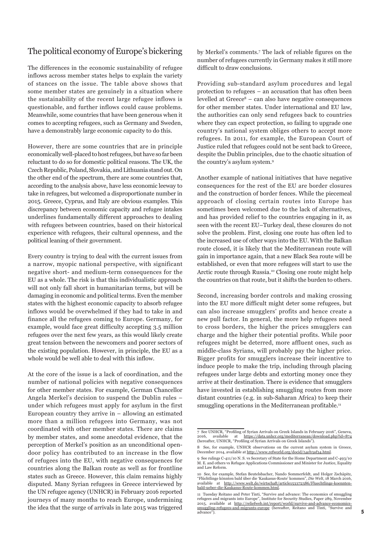### The political economy of Europe's bickering

The differences in the economic sustainability of refugee inflows across member states helps to explain the variety of stances on the issue. The table above shows that some member states are genuinely in a situation where the sustainability of the recent large refugee inflows is questionable, and further inflows could cause problems. Meanwhile, some countries that have been generous when it comes to accepting refugees, such as Germany and Sweden, have a demonstrably large economic capacity to do this.

However, there are some countries that are in principle economically well-placed to host refugees, but have so far been reluctant to do so for domestic political reasons. The UK, the Czech Republic, Poland, Slovakia, and Lithuania stand out. On the other end of the spectrum, there are some countries that, according to the analysis above, have less economic leeway to take in refugees, but welcomed a disproportionate number in 2015. Greece, Cyprus, and Italy are obvious examples. This discrepancy between economic capacity and refugee intakes underlines fundamentally different approaches to dealing with refugees between countries, based on their historical experience with refugees, their cultural openness, and the political leaning of their government.

Every country is trying to deal with the current issues from a narrow, myopic national perspective, with significant negative short- and medium-term consequences for the EU as a whole. The risk is that this individualistic approach will not only fall short in humanitarian terms, but will be damaging in economic and political terms. Even the member states with the highest economic capacity to absorb refugee inflows would be overwhelmed if they had to take in and finance all the refugees coming to Europe. Germany, for example, would face great difficulty accepting 3.5 million refugees over the next few years, as this would likely create great tension between the newcomers and poorer sectors of the existing population. However, in principle, the EU as a whole would be well able to deal with this inflow.

At the core of the issue is a lack of coordination, and the number of national policies with negative consequences for other member states. For example, German Chancellor Angela Merkel's decision to suspend the Dublin rules – under which refugees must apply for asylum in the first European country they arrive in  $-$  allowing an estimated more than a million refugees into Germany, was not coordinated with other member states. There are claims by member states, and some anecdotal evidence, that the perception of Merkel's position as an unconditional opendoor policy has contributed to an increase in the flow of refugees into the EU, with negative consequences for countries along the Balkan route as well as for frontline states such as Greece. However, this claim remains highly disputed. Many Syrian refugees in Greece interviewed by the UN refugee agency (UNHCR) in February 2016 reported journeys of many months to reach Europe, undermining the idea that the surge of arrivals in late 2015 was triggered by Merkel's comments.<sup>7</sup> The lack of reliable figures on the number of refugees currently in Germany makes it still more difficult to draw conclusions.

Providing sub-standard asylum procedures and legal protection to refugees – an accusation that has often been levelled at Greece<sup>8</sup> – can also have negative consequences for other member states. Under international and EU law, the authorities can only send refugees back to countries where they can expect protection, so failing to upgrade one country's national system obliges others to accept more refugees. In 2011, for example, the European Court of Justice ruled that refugees could not be sent back to Greece, despite the Dublin principles, due to the chaotic situation of the country's asylum system.<sup>9</sup>

Another example of national initiatives that have negative consequences for the rest of the EU are border closures and the construction of border fences. While the piecemeal approach of closing certain routes into Europe has sometimes been welcomed due to the lack of alternatives, and has provided relief to the countries engaging in it, as seen with the recent EU–Turkey deal, these closures do not solve the problem. First, closing one route has often led to the increased use of other ways into the EU. With the Balkan route closed, it is likely that the Mediterranean route will gain in importance again, that a new Black Sea route will be established, or even that more refugees will start to use the Arctic route through Russia.10 Closing one route might help the countries on that route, but it shifts the burden to others.

Second, increasing border controls and making crossing into the EU more difficult might deter some refugees, but can also increase smugglers' profits and hence create a new pull factor. In general, the more help refugees need to cross borders, the higher the prices smugglers can charge and the higher their potential profits. While poor refugees might be deterred, more affluent ones, such as middle-class Syrians, will probably pay the higher price. Bigger profits for smugglers increase their incentive to induce people to make the trip, including through placing refugees under large debts and extorting money once they arrive at their destination. There is evidence that smugglers have invested in establishing smuggling routes from more distant countries (e.g. in sub-Saharan Africa) to keep their smuggling operations in the Mediterranean profitable.<sup>11</sup>

<sup>7</sup> See UNHCR, "Profiling of Syrian Arrivals on Greek Islands in February 2016", Geneva<br>2016 – available – at – https://data.upher.org/mediterranean/download.php?id=87 2016, available at <https://data.unhcr.org/mediterranean/download.php?id=874> (hereafter, UNHCR, "Profiling of Syrian Arrivals on Greek Islands").

<sup>8</sup> See, for example, UNHCR observations on the current asylum system in Greece, December 2014, available at <http://www.refworld.org/docid/54cb3af34.html>.

<sup>9</sup> See rulings C-411/10 N. S. vs Secretary of State for the Home Department and C-493/10 M. E. and others vs Refugee Applications Commissioner and Minister for Justice, Equality and Law Reform.

<sup>10</sup> See, for example, Stefan Beutelsbacher, Nando Sommerfeldt, and Holger Zschäpitz, "Flüchtlinge könnten bald über die 'Kaukasus-Route' kommen", *Die Welt*, 18 March 2016, available at [http://www.welt.de/wirtschaft/article153372386/Fluechtlinge-koennten](http://www.welt.de/wirtschaft/article153372386/Fluechtlinge-koennten-bald-ueber-die-Kaukasus-Route-kommen.html)[bald-ueber-die-Kaukasus-Route-kommen.html.](http://www.welt.de/wirtschaft/article153372386/Fluechtlinge-koennten-bald-ueber-die-Kaukasus-Route-kommen.html)

<sup>11</sup> Tuesday Reitano and Peter Tinti, "Survive and advance: The economics of smuggling refugees and migrants into Europe", Institute for Security Studies, Paper 289, November 2015, available at [http://reliefweb.int/report/world/survive-and-advance-economics](http://reliefweb.int/report/world/survive-and-advance-economics-smuggling-refugees-and-migrants-europe)[smuggling-refugees-and-migrants-europe](http://reliefweb.int/report/world/survive-and-advance-economics-smuggling-refugees-and-migrants-europe) (hereafter, Reitano and Tinti, "Survive and advance").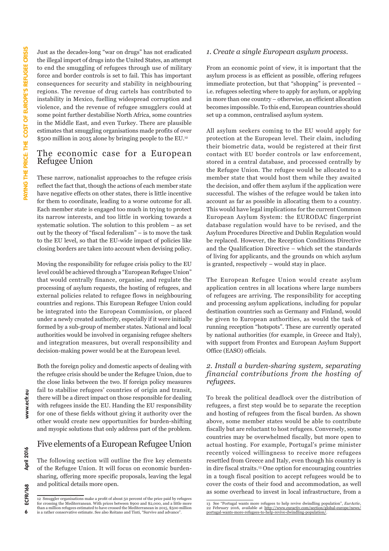Just as the decades-long "war on drugs" has not eradicated the illegal import of drugs into the United States, an attempt to end the smuggling of refugees through use of military force and border controls is set to fail. This has important consequences for security and stability in neighbouring regions. The revenue of drug cartels has contributed to instability in Mexico, fuelling widespread corruption and violence, and the revenue of refugee smugglers could at some point further destabilise North Africa, some countries in the Middle East, and even Turkey. There are plausible estimates that smuggling organisations made profits of over \$500 million in 2015 alone by bringing people to the EU.<sup>12</sup>

#### The economic case for a European Refugee Union

These narrow, nationalist approaches to the refugee crisis reflect the fact that, though the actions of each member state have negative effects on other states, there is little incentive for them to coordinate, leading to a worse outcome for all. Each member state is engaged too much in trying to protect its narrow interests, and too little in working towards a systematic solution. The solution to this problem – as set out by the theory of "fiscal federalism" – is to move the task to the EU level, so that the EU-wide impact of policies like closing borders are taken into account when devising policy.

Moving the responsibility for refugee crisis policy to the EU level could be achieved through a "European Refugee Union" that would centrally finance, organise, and regulate the processing of asylum requests, the hosting of refugees, and external policies related to refugee flows in neighbouring countries and regions. This European Refugee Union could be integrated into the European Commission, or placed under a newly created authority, especially if it were initially formed by a sub-group of member states. National and local authorities would be involved in organising refugee shelters and integration measures, but overall responsibility and decision-making power would be at the European level.

Both the foreign policy and domestic aspects of dealing with the refugee crisis should be under the Refugee Union, due to the close links between the two. If foreign policy measures fail to stabilise refugees' countries of origin and transit, there will be a direct impact on those responsible for dealing with refugees inside the EU. Handing the EU responsibility for one of these fields without giving it authority over the other would create new opportunities for burden-shifting and myopic solutions that only address part of the problem.

### Five elements of a European Refugee Union

The following section will outline the five key elements of the Refugee Union. It will focus on economic burdensharing, offering more specific proposals, leaving the legal and political details more open.

#### *1. Create a single European asylum process.*

From an economic point of view, it is important that the asylum process is as efficient as possible, offering refugees immediate protection, but that "shopping" is prevented – i.e. refugees selecting where to apply for asylum, or applying in more than one country – otherwise, an efficient allocation becomes impossible. To this end, European countries should set up a common, centralised asylum system.

All asylum seekers coming to the EU would apply for protection at the European level. Their claim, including their biometric data, would be registered at their first contact with EU border controls or law enforcement, stored in a central database, and processed centrally by the Refugee Union. The refugee would be allocated to a member state that would host them while they awaited the decision, and offer them asylum if the application were successful. The wishes of the refugee would be taken into account as far as possible in allocating them to a country. This would have legal implications for the current Common European Asylum System: the EURODAC fingerprint database regulation would have to be revised, and the Asylum Procedures Directive and Dublin Regulation would be replaced. However, the Reception Conditions Directive and the Qualification Directive – which set the standards of living for applicants, and the grounds on which asylum is granted, respectively – would stay in place.

The European Refugee Union would create asylum application centres in all locations where large numbers of refugees are arriving. The responsibility for accepting and processing asylum applications, including for popular destination countries such as Germany and Finland, would be given to European authorities, as would the task of running reception "hotspots". These are currently operated by national authorities (for example, in Greece and Italy), with support from Frontex and European Asylum Support Office (EASO) officials.

#### *2. Install a burden-sharing system, separating financial contributions from the hosting of refugees.*

To break the political deadlock over the distribution of refugees, a first step would be to separate the reception and hosting of refugees from the fiscal burden. As shown above, some member states would be able to contribute fiscally but are reluctant to host refugees. Conversely, some countries may be overwhelmed fiscally, but more open to actual hosting. For example, Portugal's prime minister recently voiced willingness to receive more refugees resettled from Greece and Italy, even though his country is in dire fiscal straits.13 One option for encouraging countries in a tough fiscal position to accept refugees would be to cover the costs of their food and accommodation, as well as some overhead to invest in local infrastructure, from a

 $\ddot{\mathbf{6}}$ 

<sup>12</sup> Smuggler organisations make a profit of about 50 percent of the price paid by refugees for crossing the Mediterranean. With prices between \$900 and \$2,000, and a little more than a million refugees estimated to have crossed the Mediterranean in 2015, \$500 million is a rather conservative estimate. See also Reitano and Tinti, "Survive and advance".

<sup>13</sup> See "Portugal wants more refugees to help revive dwindling population", *EurActiv*, 22 February 2016, available at [http://www.euractiv.com/section/global-europe/news/](http://www.euractiv.com/section/global-europe/news/portugal-wants-more-refugees-to-help-revive-dwindling-population/) [portugal-wants-more-refugees-to-help-revive-dwindling-population/](http://www.euractiv.com/section/global-europe/news/portugal-wants-more-refugees-to-help-revive-dwindling-population/).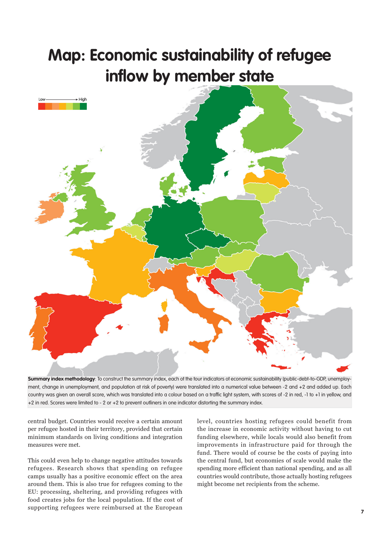## **Map: Economic sustainability of refugee inflow by member state**



**Summary index methodology**: To construct the summary index, each of the four indicators of economic sustainability (public-debt-to-GDP, unemployment, change in unemployment, and population at risk of poverty) were translated into a numerical value between -2 and +2 and added up. Each country was given an overall score, which was translated into a colour based on a traffic light system, with scores of -2 in red, -1 to +1 in yellow, and +2 in red. Scores were limited to - 2 or +2 to prevent outliners in one indicator distorting the summary index.

central budget. Countries would receive a certain amount per refugee hosted in their territory, provided that certain minimum standards on living conditions and integration measures were met.

This could even help to change negative attitudes towards refugees. Research shows that spending on refugee camps usually has a positive economic effect on the area around them. This is also true for refugees coming to the EU: processing, sheltering, and providing refugees with food creates jobs for the local population. If the cost of supporting refugees were reimbursed at the European

level, countries hosting refugees could benefit from the increase in economic activity without having to cut funding elsewhere, while locals would also benefit from improvements in infrastructure paid for through the fund. There would of course be the costs of paying into the central fund, but economies of scale would make the spending more efficient than national spending, and as all countries would contribute, those actually hosting refugees might become net recipients from the scheme.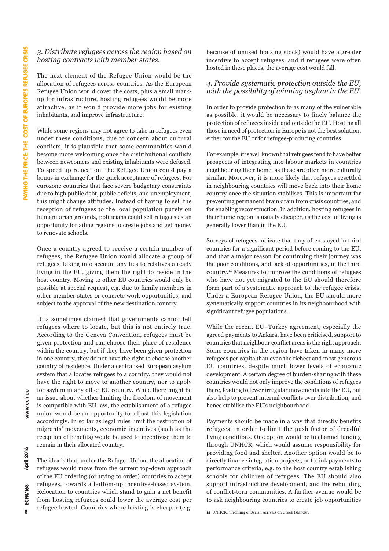#### *3. Distribute refugees across the region based on hosting contracts with member states.*

The next element of the Refugee Union would be the allocation of refugees across countries. As the European Refugee Union would cover the costs, plus a small markup for infrastructure, hosting refugees would be more attractive, as it would provide more jobs for existing inhabitants, and improve infrastructure.

While some regions may not agree to take in refugees even under these conditions, due to concern about cultural conflicts, it is plausible that some communities would become more welcoming once the distributional conflicts between newcomers and existing inhabitants were defused. To speed up relocation, the Refugee Union could pay a bonus in exchange for the quick acceptance of refugees. For eurozone countries that face severe budgetary constraints due to high public debt, public deficits, and unemployment, this might change attitudes. Instead of having to sell the reception of refugees to the local population purely on humanitarian grounds, politicians could sell refugees as an opportunity for ailing regions to create jobs and get money to renovate schools.

Once a country agreed to receive a certain number of refugees, the Refugee Union would allocate a group of refugees, taking into account any ties to relatives already living in the EU, giving them the right to reside in the host country. Moving to other EU countries would only be possible at special request, e.g. due to family members in other member states or concrete work opportunities, and subject to the approval of the new destination country.

It is sometimes claimed that governments cannot tell refugees where to locate, but this is not entirely true. According to the Geneva Convention, refugees must be given protection and can choose their place of residence within the country, but if they have been given protection in one country, they do not have the right to choose another country of residence. Under a centralised European asylum system that allocates refugees to a country, they would not have the right to move to another country, nor to apply for asylum in any other EU country. While there might be an issue about whether limiting the freedom of movement is compatible with EU law, the establishment of a refugee union would be an opportunity to adjust this legislation accordingly. In so far as legal rules limit the restriction of migrants' movements, economic incentives (such as the reception of benefits) would be used to incentivise them to remain in their allocated country.

The idea is that, under the Refugee Union, the allocation of refugees would move from the current top-down approach of the EU ordering (or trying to order) countries to accept refugees, towards a bottom-up incentive-based system. Relocation to countries which stand to gain a net benefit from hosting refugees could lower the average cost per refugee hosted. Countries where hosting is cheaper (e.g.

because of unused housing stock) would have a greater incentive to accept refugees, and if refugees were often hosted in these places, the average cost would fall.

#### *4. Provide systematic protection outside the EU, with the possibility of winning asylum in the EU.*

In order to provide protection to as many of the vulnerable as possible, it would be necessary to finely balance the protection of refugees inside and outside the EU. Hosting all those in need of protection in Europe is not the best solution, either for the EU or for refugee-producing countries.

For example, it is well known that refugees tend to have better prospects of integrating into labour markets in countries neighbouring their home, as these are often more culturally similar. Moreover, it is more likely that refugees resettled in neighbouring countries will move back into their home country once the situation stabilises. This is important for preventing permanent brain drain from crisis countries, and for enabling reconstruction. In addition, hosting refugees in their home region is usually cheaper, as the cost of living is generally lower than in the EU.

Surveys of refugees indicate that they often stayed in third countries for a significant period before coming to the EU, and that a major reason for continuing their journey was the poor conditions, and lack of opportunities, in the third country.14 Measures to improve the conditions of refugees who have not yet migrated to the EU should therefore form part of a systematic approach to the refugee crisis. Under a European Refugee Union, the EU should more systematically support countries in its neighbourhood with significant refugee populations.

While the recent EU–Turkey agreement, especially the agreed payments to Ankara, have been criticised, support to countries that neighbour conflict areas is the right approach. Some countries in the region have taken in many more refugees per capita than even the richest and most generous EU countries, despite much lower levels of economic development. A certain degree of burden-sharing with these countries would not only improve the conditions of refugees there, leading to fewer irregular movements into the EU, but also help to prevent internal conflicts over distribution, and hence stabilise the EU's neighbourhood.

Payments should be made in a way that directly benefits refugees, in order to limit the push factor of dreadful living conditions. One option would be to channel funding through UNHCR, which would assume responsibility for providing food and shelter. Another option would be to directly finance integration projects, or to link payments to performance criteria, e.g. to the host country establishing schools for children of refugees. The EU should also support infrastructure development, and the rebuilding of conflict-torn communities. A further avenue would be to ask neighbouring countries to create job opportunities

<sup>14</sup> UNHCR, "Profiling of Syrian Arrivals on Greek Islands".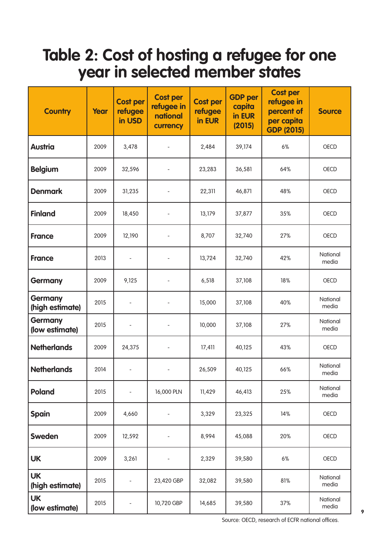## **Table 2: Cost of hosting a refugee for one year in selected member states**

| <b>Country</b>                    | Year | <b>Cost per</b><br>refugee<br>in USD | <b>Cost per</b><br>refugee in<br>national<br>currency | <b>Cost per</b><br>refugee<br>in EUR | <b>GDP</b> per<br>capita<br>in EUR<br>(2015) | <b>Cost per</b><br>refugee in<br>percent of<br>per capita<br><b>GDP (2015)</b> | <b>Source</b>     |
|-----------------------------------|------|--------------------------------------|-------------------------------------------------------|--------------------------------------|----------------------------------------------|--------------------------------------------------------------------------------|-------------------|
| <b>Austria</b>                    | 2009 | 3,478                                |                                                       | 2,484                                | 39,174                                       | 6%                                                                             | OECD              |
| <b>Belgium</b>                    | 2009 | 32,596                               |                                                       | 23,283                               | 36,581                                       | 64%                                                                            | OECD              |
| <b>Denmark</b>                    | 2009 | 31,235                               | $\overline{\phantom{0}}$                              | 22,311                               | 46,871                                       | 48%                                                                            | OECD              |
| <b>Finland</b>                    | 2009 | 18,450                               |                                                       | 13,179                               | 37,877                                       | 35%                                                                            | <b>OECD</b>       |
| <b>France</b>                     | 2009 | 12,190                               |                                                       | 8,707                                | 32,740                                       | 27%                                                                            | OECD              |
| <b>France</b>                     | 2013 | $\overline{\phantom{a}}$             | $\qquad \qquad -$                                     | 13,724                               | 32,740                                       | 42%                                                                            | National<br>media |
| <b>Germany</b>                    | 2009 | 9,125                                |                                                       | 6,518                                | 37,108                                       | 18%                                                                            | OECD              |
| <b>Germany</b><br>(high estimate) | 2015 |                                      |                                                       | 15,000                               | 37,108                                       | 40%                                                                            | National<br>media |
| <b>Germany</b><br>(low estimate)  | 2015 |                                      |                                                       | 10,000                               | 37,108                                       | 27%                                                                            | National<br>media |
| <b>Netherlands</b>                | 2009 | 24,375                               |                                                       | 17,411                               | 40,125                                       | 43%                                                                            | OECD              |
| <b>Netherlands</b>                | 2014 |                                      |                                                       | 26,509                               | 40,125                                       | 66%                                                                            | National<br>media |
| <b>Poland</b>                     | 2015 | $\qquad \qquad -$                    | 16,000 PLN                                            | 11,429                               | 46,413                                       | 25%                                                                            | National<br>media |
| <b>Spain</b>                      | 2009 | 4,660                                |                                                       | 3,329                                | 23,325                                       | 14%                                                                            | OECD              |
| <b>Sweden</b>                     | 2009 | 12,592                               |                                                       | 8,994                                | 45,088                                       | 20%                                                                            | OECD              |
| <b>UK</b>                         | 2009 | 3,261                                | $\qquad \qquad \blacksquare$                          | 2,329                                | 39,580                                       | $6\%$                                                                          | OECD              |
| <b>UK</b><br>(high estimate)      | 2015 |                                      | 23,420 GBP                                            | 32,082                               | 39,580                                       | 81%                                                                            | National<br>media |
| <b>UK</b><br>(low estimate)       | 2015 |                                      | 10,720 GBP                                            | 14,685                               | 39,580                                       | 37%                                                                            | National<br>media |

Source: OECD, research of ECFR national offices.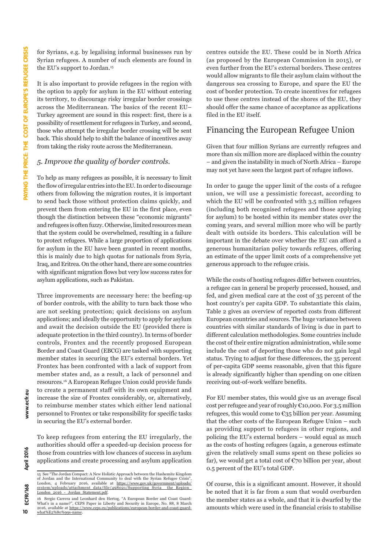for Syrians, e.g. by legalising informal businesses run by Syrian refugees. A number of such elements are found in the EU's support to Jordan.<sup>15</sup>

It is also important to provide refugees in the region with the option to apply for asylum in the EU without entering its territory, to discourage risky irregular border crossings across the Mediterranean. The basics of the recent EU– Turkey agreement are sound in this respect: first, there is a possibility of resettlement for refugees in Turkey, and second, those who attempt the irregular border crossing will be sent back. This should help to shift the balance of incentives away from taking the risky route across the Mediterranean.

#### *5. Improve the quality of border controls.*

To help as many refugees as possible, it is necessary to limit the flow of irregular entries into the EU. In order to discourage others from following the migration routes, it is important to send back those without protection claims quickly, and prevent them from entering the EU in the first place, even though the distinction between these "economic migrants" and refugees is often fuzzy. Otherwise, limited resources mean that the system could be overwhelmed, resulting in a failure to protect refugees. While a large proportion of applications for asylum in the EU have been granted in recent months, this is mainly due to high quotas for nationals from Syria, Iraq, and Eritrea. On the other hand, there are some countries with significant migration flows but very low success rates for asylum applications, such as Pakistan.

Three improvements are necessary here: the beefing-up of border controls, with the ability to turn back those who are not seeking protection; quick decisions on asylum applications; and ideally the opportunity to apply for asylum and await the decision outside the EU (provided there is adequate protection in the third country). In terms of border controls, Frontex and the recently proposed European Border and Coast Guard (EBCG) are tasked with supporting member states in securing the EU's external borders. Yet Frontex has been confronted with a lack of support from member states and, as a result, a lack of personnel and resources.16 A European Refugee Union could provide funds to create a permanent staff with its own equipment and increase the size of Frontex considerably, or, alternatively, to reimburse member states which either lend national personnel to Frontex or take responsibility for specific tasks in securing the EU's external border.

To keep refugees from entering the EU irregularly, the authorities should offer a speeded-up decision process for those from countries with low chances of success in asylum applications and create processing and asylum application

centres outside the EU. These could be in North Africa (as proposed by the European Commission in 2015), or even further from the EU's external borders. These centres would allow migrants to file their asylum claim without the dangerous sea crossing to Europe, and spare the EU the cost of border protection. To create incentives for refugees to use these centres instead of the shores of the EU, they should offer the same chance of acceptance as applications filed in the EU itself.

### Financing the European Refugee Union

Given that four million Syrians are currently refugees and more than six million more are displaced within the country – and given the instability in much of North Africa – Europe may not yet have seen the largest part of refugee inflows.

In order to gauge the upper limit of the costs of a refugee union, we will use a pessimistic forecast, according to which the EU will be confronted with 3.5 million refugees (including both recognised refugees and those applying for asylum) to be hosted within its member states over the coming years, and several million more who will be partly dealt with outside its borders. This calculation will be important in the debate over whether the EU can afford a generous humanitarian policy towards refugees, offering an estimate of the upper limit costs of a comprehensive yet generous approach to the refugee crisis.

While the costs of hosting refugees differ between countries, a refugee can in general be properly processed, housed, and fed, and given medical care at the cost of 35 percent of the host country's per capita GDP. To substantiate this claim, Table 2 gives an overview of reported costs from different European countries and sources. The huge variance between countries with similar standards of living is due in part to different calculation methodologies. Some countries include the cost of their entire migration administration, while some include the cost of deporting those who do not gain legal status. Trying to adjust for these differences, the 35 percent of per-capita GDP seems reasonable, given that this figure is already significantly higher than spending on one citizen receiving out-of-work welfare benefits.

For EU member states, this would give us an average fiscal cost per refugee and year of roughly €10,000. For 3.5 million refugees, this would come to  $\epsilon_{35}$  billion per year. Assuming that the other costs of the European Refugee Union – such as providing support to refugees in other regions, and policing the EU's external borders – would equal as much as the costs of hosting refugees (again, a generous estimate given the relatively small sums spent on these policies so far), we would get a total cost of  $\epsilon$ 70 billion per year, about 0.5 percent of the EU's total GDP.

Of course, this is a significant amount. However, it should be noted that it is far from a sum that would overburden the member states as a whole, and that it is dwarfed by the amounts which were used in the financial crisis to stabilise

April 2016

<sup>15</sup> See "The Jordan Compact: A New Holistic Approach between the Hashemite Kingdom of Jordan and the International Community to deal with the Syrian Refugee Crisis' London, 4 February 2016, available at [https://www.gov.uk/government/uploads/](https://www.gov.uk/government/uploads/system/uploads/attachment_data/file/498021/Supporting_Syria__the_Region_London_2016_-_Jordan_Statement.pdf) [system/uploads/attachment\\_data/file/498021/Supporting\\_Syria\\_\\_the\\_Region\\_](https://www.gov.uk/government/uploads/system/uploads/attachment_data/file/498021/Supporting_Syria__the_Region_London_2016_-_Jordan_Statement.pdf) [London\\_2016\\_-\\_Jordan\\_Statement.pdf](https://www.gov.uk/government/uploads/system/uploads/attachment_data/file/498021/Supporting_Syria__the_Region_London_2016_-_Jordan_Statement.pdf).

<sup>16</sup> Sergio Carrera and Leonhard den Hertog, "A European Border and Coast Guard: What's in a name?", CEPS Paper in Liberty and Security in Europe, No. 88, 8 March 2016, available at https://www.ceps.eu/publications/european-border-and-coast [what%E2%80%99s-name](https://www.ceps.eu/publications/european-border-and-coast-guard-what%E2%80%99s-name).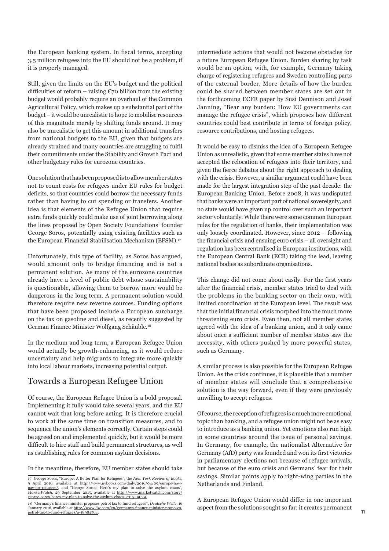the European banking system. In fiscal terms, accepting 3.5 million refugees into the EU should not be a problem, if it is properly managed.

Still, given the limits on the EU's budget and the political difficulties of reform – raising  $\epsilon$ 70 billion from the existing budget would probably require an overhaul of the Common Agricultural Policy, which makes up a substantial part of the budget – it would be unrealistic to hope to mobilise resources of this magnitude merely by shifting funds around. It may also be unrealistic to get this amount in additional transfers from national budgets to the EU, given that budgets are already strained and many countries are struggling to fulfil their commitments under the Stability and Growth Pact and other budgetary rules for eurozone countries.

One solution that has been proposed is to allow member states not to count costs for refugees under EU rules for budget deficits, so that countries could borrow the necessary funds rather than having to cut spending or transfers. Another idea is that elements of the Refugee Union that require extra funds quickly could make use of joint borrowing along the lines proposed by Open Society Foundations' founder George Soros, potentially using existing facilities such as the European Financial Stabilisation Mechanism (EFSM).<sup>17</sup>

Unfortunately, this type of facility, as Soros has argued, would amount only to bridge financing and is not a permanent solution. As many of the eurozone countries already have a level of public debt whose sustainability is questionable, allowing them to borrow more would be dangerous in the long term. A permanent solution would therefore require new revenue sources. Funding options that have been proposed include a European surcharge on the tax on gasoline and diesel, as recently suggested by German Finance Minister Wolfgang Schäuble.18

In the medium and long term, a European Refugee Union would actually be growth-enhancing, as it would reduce uncertainty and help migrants to integrate more quickly into local labour markets, increasing potential output.

## Towards a European Refugee Union

Of course, the European Refugee Union is a bold proposal. Implementing it fully would take several years, and the EU cannot wait that long before acting. It is therefore crucial to work at the same time on transition measures, and to sequence the union's elements correctly. Certain steps could be agreed on and implemented quickly, but it would be more difficult to hire staff and build permanent structures, as well as establishing rules for common asylum decisions.

In the meantime, therefore, EU member states should take

intermediate actions that would not become obstacles for a future European Refugee Union. Burden sharing by task would be an option, with, for example, Germany taking charge of registering refugees and Sweden controlling parts of the external border. More details of how the burden could be shared between member states are set out in the forthcoming ECFR paper by Susi Dennison and Josef Janning, "Bear any burden: How EU governments can manage the refugee crisis", which proposes how different countries could best contribute in terms of foreign policy, resource contributions, and hosting refugees.

It would be easy to dismiss the idea of a European Refugee Union as unrealistic, given that some member states have not accepted the relocation of refugees into their territory, and given the fierce debates about the right approach to dealing with the crisis. However, a similar argument could have been made for the largest integration step of the past decade: the European Banking Union. Before 2008, it was undisputed that banks were an important part of national sovereignty, and no state would have given up control over such an important sector voluntarily. While there were some common European rules for the regulation of banks, their implementation was only loosely coordinated. However, since 2012 – following the financial crisis and ensuing euro crisis – all oversight and regulation has been centralised in European institutions, with the European Central Bank (ECB) taking the lead, leaving national bodies as subordinate organisations.

This change did not come about easily. For the first years after the financial crisis, member states tried to deal with the problems in the banking sector on their own, with limited coordination at the European level. The result was that the initial financial crisis morphed into the much more threatening euro crisis. Even then, not all member states agreed with the idea of a banking union, and it only came about once a sufficient number of member states saw the necessity, with others pushed by more powerful states, such as Germany.

A similar process is also possible for the European Refugee Union. As the crisis continues, it is plausible that a number of member states will conclude that a comprehensive solution is the way forward, even if they were previously unwilling to accept refugees.

Of course, the reception of refugees is a much more emotional topic than banking, and a refugee union might not be as easy to introduce as a banking union. Yet emotions also run high in some countries around the issue of personal savings. In Germany, for example, the nationalist Alternative for Germany (AfD) party was founded and won its first victories in parliamentary elections not because of refugee arrivals, but because of the euro crisis and Germans' fear for their savings. Similar points apply to right-wing parties in the Netherlands and Finland.

A European Refugee Union would differ in one important aspect from the solutions sought so far: it creates permanent

<sup>17</sup> George Soros, "Europe: A Better Plan for Refugees", the *New York Review of Books*, 9 April 2016, available at [http://www.nybooks.com/daily/2016/04/09/europe-how](http://www.nybooks.com/daily/2016/04/09/europe-how-pay-for-refugees/)[pay-for-refugees/](http://www.nybooks.com/daily/2016/04/09/europe-how-pay-for-refugees/), and "George Soros: Here's my plan to solve the asylum chaos", *MarketWatch,* 29 September 2015, available at [http://www.marketwatch.com/story/](http://www.marketwatch.com/story/george-soros-heres-my-plan-to-solve-the-asylum-chaos-2015-09-29) [george-soros-heres-my-plan-to-solve-the-asylum-chaos-2015-09-29](http://www.marketwatch.com/story/george-soros-heres-my-plan-to-solve-the-asylum-chaos-2015-09-29).

<sup>18 &</sup>quot;Germany's finance minister proposes petrol tax to fund refugees", *Deutsche Welle*, 16 January 2016, available at [http://www.dw.com/en/germanys-finance-minister-proposes](http://www.dw.com/en/germanys-finance-minister-proposes-petrol-tax-to-fund-refugees/a-18984764)[petrol-tax-to-fund-refugees/a-18984764](http://www.dw.com/en/germanys-finance-minister-proposes-petrol-tax-to-fund-refugees/a-18984764).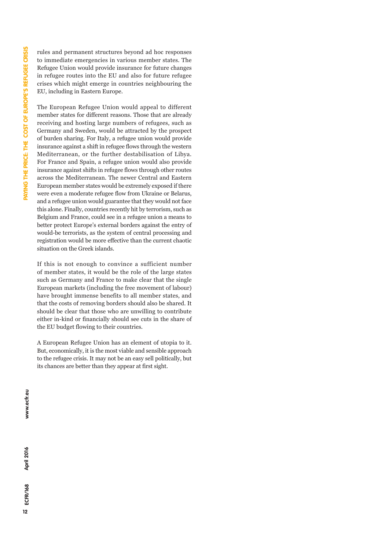rules and permanent structures beyond ad hoc responses to immediate emergencies in various member states. The Refugee Union would provide insurance for future changes in refugee routes into the EU and also for future refugee crises which might emerge in countries neighbouring the EU, including in Eastern Europe.

The European Refugee Union would appeal to different member states for different reasons. Those that are already receiving and hosting large numbers of refugees, such as Germany and Sweden, would be attracted by the prospect of burden sharing. For Italy, a refugee union would provide insurance against a shift in refugee flows through the western Mediterranean, or the further destabilisation of Libya. For France and Spain, a refugee union would also provide insurance against shifts in refugee flows through other routes across the Mediterranean. The newer Central and Eastern European member states would be extremely exposed if there were even a moderate refugee flow from Ukraine or Belarus, and a refugee union would guarantee that they would not face this alone. Finally, countries recently hit by terrorism, such as Belgium and France, could see in a refugee union a means to better protect Europe's external borders against the entry of would-be terrorists, as the system of central processing and registration would be more effective than the current chaotic situation on the Greek islands.

If this is not enough to convince a sufficient number of member states, it would be the role of the large states such as Germany and France to make clear that the single European markets (including the free movement of labour) have brought immense benefits to all member states, and that the costs of removing borders should also be shared. It should be clear that those who are unwilling to contribute either in-kind or financially should see cuts in the share of the EU budget flowing to their countries.

A European Refugee Union has an element of utopia to it. But, economically, it is the most viable and sensible approach to the refugee crisis. It may not be an easy sell politically, but its chances are better than they appear at first sight.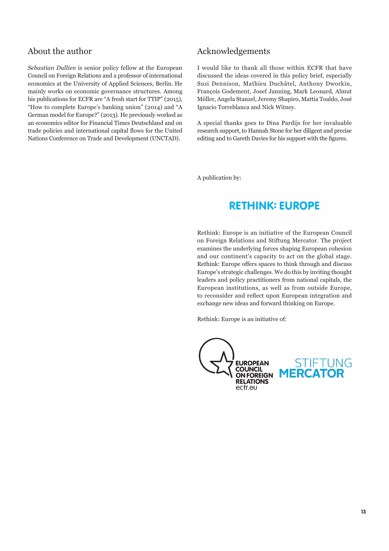### About the author

*Sebastian Dullien* is senior policy fellow at the European Council on Foreign Relations and a professor of international economics at the University of Applied Sciences, Berlin. He mainly works on economic governance structures. Among his publications for ECFR are "A fresh start for TTIP" (2015), "How to complete Europe's banking union" (2014) and "A German model for Europe?" (2013). He previously worked as an economics editor for Financial Times Deutschland and on trade policies and international capital flows for the United Nations Conference on Trade and Development (UNCTAD).

### Acknowledgements

I would like to thank all those within ECFR that have discussed the ideas covered in this policy brief, especially Susi Dennison, Mathieu Duchâtel, Anthony Dworkin, François Godement, Josef Janning, Mark Leonard, Almut Möller, Angela Stanzel, Jeremy Shapiro, Mattia Toaldo, José Ignacio Torreblanca and Nick Witney.

A special thanks goes to Dina Pardijs for her invaluable research support, to Hannah Stone for her diligent and precise editing and to Gareth Davies for his support with the figures.

A publication by:

## **RETHINK: EUROPE**

Rethink: Europe is an initiative of the European Council on Foreign Relations and Stiftung Mercator. The project examines the underlying forces shaping European cohesion and our continent's capacity to act on the global stage. Rethink: Europe offers spaces to think through and discuss Europe's strategic challenges. We do this by inviting thought leaders and policy practitioners from national capitals, the European institutions, as well as from outside Europe, to reconsider and reflect upon European integration and exchange new ideas and forward thinking on Europe.

Rethink: Europe is an initiative of: